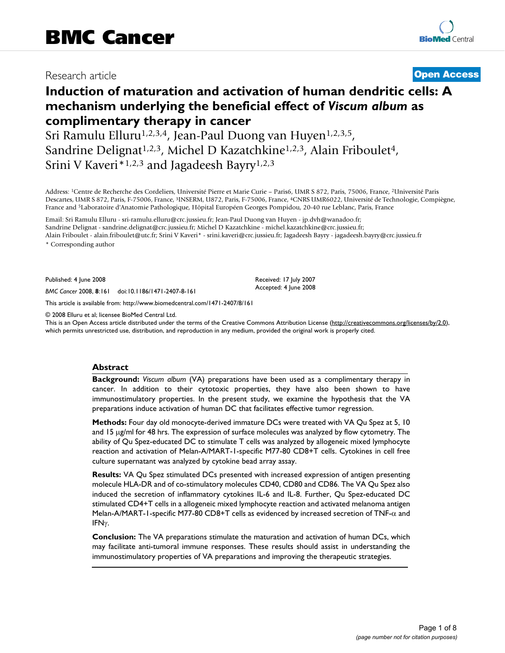# Research article **[Open Access](http://www.biomedcentral.com/info/about/charter/)**

# **Induction of maturation and activation of human dendritic cells: A mechanism underlying the beneficial effect of** *Viscum album* **as complimentary therapy in cancer**

Sri Ramulu Elluru<sup>1,2,3,4</sup>, Jean-Paul Duong van Huyen<sup>1,2,3,5</sup>, Sandrine Delignat<sup>1,2,3</sup>, Michel D Kazatchkine<sup>1,2,3</sup>, Alain Friboulet<sup>4</sup>, Srini V Kaveri<sup>\*1,2,3</sup> and Jagadeesh Bayry<sup>1,2,3</sup>

Address: 1Centre de Recherche des Cordeliers, Université Pierre et Marie Curie – Paris6, UMR S 872, Paris, 75006, France, 2Université Paris Descartes, UMR S 872, Paris, F-75006, France, 3INSERM, U872, Paris, F-75006, France, 4CNRS UMR6022, Université de Technologie, Compiègne, France and 5Laboratoire d'Anatomie Pathologique, Hôpital Européen Georges Pompidou, 20-40 rue Leblanc, Paris, France

Email: Sri Ramulu Elluru - sri-ramulu.elluru@crc.jussieu.fr; Jean-Paul Duong van Huyen - jp.dvh@wanadoo.fr; Sandrine Delignat - sandrine.delignat@crc.jussieu.fr; Michel D Kazatchkine - michel.kazatchkine@crc.jussieu.fr; Alain Friboulet - alain.friboulet@utc.fr; Srini V Kaveri\* - srini.kaveri@crc.jussieu.fr; Jagadeesh Bayry - jagadeesh.bayry@crc.jussieu.fr \* Corresponding author

Published: 4 June 2008

*BMC Cancer* 2008, **8**:161 doi:10.1186/1471-2407-8-161

[This article is available from: http://www.biomedcentral.com/1471-2407/8/161](http://www.biomedcentral.com/1471-2407/8/161)

© 2008 Elluru et al; licensee BioMed Central Ltd.

This is an Open Access article distributed under the terms of the Creative Commons Attribution License [\(http://creativecommons.org/licenses/by/2.0\)](http://creativecommons.org/licenses/by/2.0), which permits unrestricted use, distribution, and reproduction in any medium, provided the original work is properly cited.

Received: 17 July 2007 Accepted: 4 June 2008

#### **Abstract**

**Background:** *Viscum album* (VA) preparations have been used as a complimentary therapy in cancer. In addition to their cytotoxic properties, they have also been shown to have immunostimulatory properties. In the present study, we examine the hypothesis that the VA preparations induce activation of human DC that facilitates effective tumor regression.

**Methods:** Four day old monocyte-derived immature DCs were treated with VA Qu Spez at 5, 10 and 15 μg/ml for 48 hrs. The expression of surface molecules was analyzed by flow cytometry. The ability of Qu Spez-educated DC to stimulate T cells was analyzed by allogeneic mixed lymphocyte reaction and activation of Melan-A/MART-1-specific M77-80 CD8+T cells. Cytokines in cell free culture supernatant was analyzed by cytokine bead array assay.

**Results:** VA Qu Spez stimulated DCs presented with increased expression of antigen presenting molecule HLA-DR and of co-stimulatory molecules CD40, CD80 and CD86. The VA Qu Spez also induced the secretion of inflammatory cytokines IL-6 and IL-8. Further, Qu Spez-educated DC stimulated CD4+T cells in a allogeneic mixed lymphocyte reaction and activated melanoma antigen Melan-A/MART-1-specific M77-80 CD8+T cells as evidenced by increased secretion of TNF-α and IFNγ.

**Conclusion:** The VA preparations stimulate the maturation and activation of human DCs, which may facilitate anti-tumoral immune responses. These results should assist in understanding the immunostimulatory properties of VA preparations and improving the therapeutic strategies.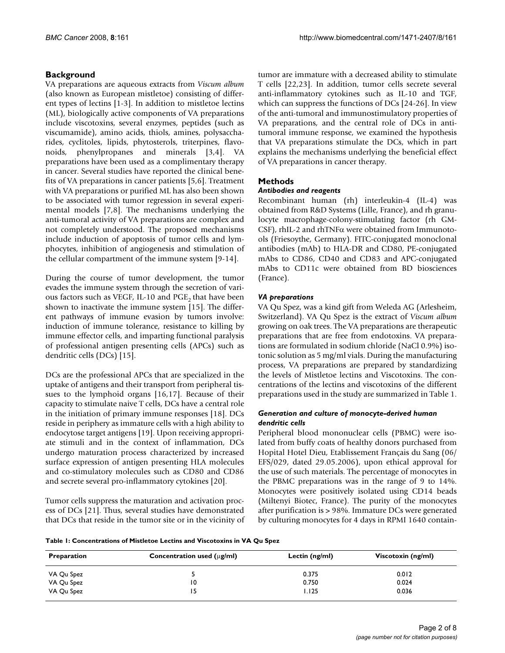# **Background**

VA preparations are aqueous extracts from *Viscum album* (also known as European mistletoe) consisting of different types of lectins [1-3]. In addition to mistletoe lectins (ML), biologically active components of VA preparations include viscotoxins, several enzymes, peptides (such as viscumamide), amino acids, thiols, amines, polysaccharides, cyclitoles, lipids, phytosterols, triterpines, flavonoids, phenylpropanes and minerals [3,4]. VA preparations have been used as a complimentary therapy in cancer. Several studies have reported the clinical benefits of VA preparations in cancer patients [5,6]. Treatment with VA preparations or purified ML has also been shown to be associated with tumor regression in several experimental models [7,8]. The mechanisms underlying the anti-tumoral activity of VA preparations are complex and not completely understood. The proposed mechanisms include induction of apoptosis of tumor cells and lymphocytes, inhibition of angiogenesis and stimulation of the cellular compartment of the immune system [9-14].

During the course of tumor development, the tumor evades the immune system through the secretion of various factors such as VEGF, IL-10 and PGE<sub>2</sub> that have been shown to inactivate the immune system [15]. The different pathways of immune evasion by tumors involve: induction of immune tolerance, resistance to killing by immune effector cells, and imparting functional paralysis of professional antigen presenting cells (APCs) such as dendritic cells (DCs) [15].

DCs are the professional APCs that are specialized in the uptake of antigens and their transport from peripheral tissues to the lymphoid organs [16,17]. Because of their capacity to stimulate naive T cells, DCs have a central role in the initiation of primary immune responses [18]. DCs reside in periphery as immature cells with a high ability to endocytose target antigens [19]. Upon receiving appropriate stimuli and in the context of inflammation, DCs undergo maturation process characterized by increased surface expression of antigen presenting HLA molecules and co-stimulatory molecules such as CD80 and CD86 and secrete several pro-inflammatory cytokines [20].

Tumor cells suppress the maturation and activation process of DCs [21]. Thus, several studies have demonstrated that DCs that reside in the tumor site or in the vicinity of tumor are immature with a decreased ability to stimulate T cells [22,23]. In addition, tumor cells secrete several anti-inflammatory cytokines such as IL-10 and TGF, which can suppress the functions of DCs [24-26]. In view of the anti-tumoral and immunostimulatory properties of VA preparations, and the central role of DCs in antitumoral immune response, we examined the hypothesis that VA preparations stimulate the DCs, which in part explains the mechanisms underlying the beneficial effect of VA preparations in cancer therapy.

# **Methods**

### *Antibodies and reagents*

Recombinant human (rh) interleukin-4 (IL-4) was obtained from R&D Systems (Lille, France), and rh granulocyte macrophage-colony-stimulating factor (rh GM-CSF), rhIL-2 and rhTNFα were obtained from Immunotools (Friesoythe, Germany). FITC-conjugated monoclonal antibodies (mAb) to HLA-DR and CD80, PE-conjugated mAbs to CD86, CD40 and CD83 and APC-conjugated mAbs to CD11c were obtained from BD biosciences (France).

# *VA preparations*

VA Qu Spez, was a kind gift from Weleda AG (Arlesheim, Switzerland). VA Qu Spez is the extract of *Viscum album* growing on oak trees. The VA preparations are therapeutic preparations that are free from endotoxins. VA preparations are formulated in sodium chloride (NaCl 0.9%) isotonic solution as 5 mg/ml vials. During the manufacturing process, VA preparations are prepared by standardizing the levels of Mistletoe lectins and Viscotoxins. The concentrations of the lectins and viscotoxins of the different preparations used in the study are summarized in Table 1.

### *Generation and culture of monocyte-derived human dendritic cells*

Peripheral blood mononuclear cells (PBMC) were isolated from buffy coats of healthy donors purchased from Hopital Hotel Dieu, Etablissement Français du Sang (06/ EFS/029, dated 29.05.2006), upon ethical approval for the use of such materials. The percentage of monocytes in the PBMC preparations was in the range of 9 to 14%. Monocytes were positively isolated using CD14 beads (Miltenyi Biotec, France). The purity of the monocytes after purification is > 98%. Immature DCs were generated by culturing monocytes for 4 days in RPMI 1640 contain-

**Table 1: Concentrations of Mistletoe Lectins and Viscotoxins in VA Qu Spez**

| Preparation | Concentration used $(\mu g/ml)$ | Lectin $(ng/ml)$ | Viscotoxin (ng/ml) |
|-------------|---------------------------------|------------------|--------------------|
| VA Qu Spez  |                                 | 0.375            | 0.012              |
| VA Qu Spez  | 10                              | 0.750            | 0.024              |
| VA Qu Spez  |                                 | I.I25            | 0.036              |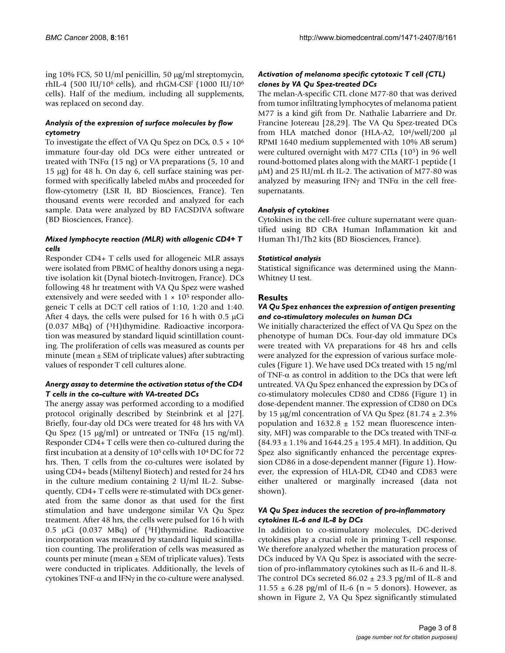ing 10% FCS, 50 U/ml penicillin, 50 μg/ml streptomycin, rhIL-4 (500 IU/106 cells), and rhGM-CSF (1000 IU/106 cells). Half of the medium, including all supplements, was replaced on second day.

# *Analysis of the expression of surface molecules by flow cytometry*

To investigate the effect of VA Qu Spez on DCs,  $0.5 \times 10^6$ immature four-day old DCs were either untreated or treated with TNF $\alpha$  (15 ng) or VA preparations (5, 10 and 15 μg) for 48 h. On day 6, cell surface staining was performed with specifically labeled mAbs and proceeded for flow-cytometry (LSR II, BD Biosciences, France). Ten thousand events were recorded and analyzed for each sample. Data were analyzed by BD FACSDIVA software (BD Biosciences, France).

## *Mixed lymphocyte reaction (MLR) with allogenic CD4+ T cells*

Responder CD4+ T cells used for allogeneic MLR assays were isolated from PBMC of healthy donors using a negative isolation kit (Dynal biotech-Invitrogen, France). DCs following 48 hr treatment with VA Qu Spez were washed extensively and were seeded with  $1 \times 10^5$  responder allogeneic T cells at DC:T cell ratios of 1:10, 1:20 and 1:40. After 4 days, the cells were pulsed for 16 h with  $0.5 \mu$ Ci (0.037 MBq) of (3H)thymidine. Radioactive incorporation was measured by standard liquid scintillation counting. The proliferation of cells was measured as counts per minute (mean  $\pm$  SEM of triplicate values) after subtracting values of responder T cell cultures alone.

# *Anergy assay to determine the activation status of the CD4 T cells in the co-culture with VA-treated DCs*

The anergy assay was performed according to a modified protocol originally described by Steinbrink et al [27]. Briefly, four-day old DCs were treated for 48 hrs with VA Qu Spez (15 μg/ml) or untreated or TNFα (15 ng/ml). Responder CD4+ T cells were then co-cultured during the first incubation at a density of 105 cells with 104 DC for 72 hrs. Then, T cells from the co-cultures were isolated by using CD4+ beads (Miltenyl Biotech) and rested for 24 hrs in the culture medium containing 2 U/ml IL-2. Subsequently, CD4+ T cells were re-stimulated with DCs generated from the same donor as that used for the first stimulation and have undergone similar VA Qu Spez treatment. After 48 hrs, the cells were pulsed for 16 h with 0.5 μCi (0.037 MBq) of  $(3H)$ thymidine. Radioactive incorporation was measured by standard liquid scintillation counting. The proliferation of cells was measured as counts per minute (mean  $\pm$  SEM of triplicate values). Tests were conducted in triplicates. Additionally, the levels of cytokines TNF-α and IFNγ in the co-culture were analysed.

# *Activation of melanoma specific cytotoxic T cell (CTL) clones by VA Qu Spez-treated DCs*

The melan-A-specific CTL clone M77-80 that was derived from tumor infiltrating lymphocytes of melanoma patient M77 is a kind gift from Dr. Nathalie Labarriere and Dr. Francine Jotereau [28,29]. The VA Qu Spez-treated DCs from HLA matched donor (HLA-A2, 104/well/200 μl RPMI 1640 medium supplemented with 10% AB serum) were cultured overnight with M77 CTLs (105) in 96 well round-bottomed plates along with the MART-1 peptide (1 μM) and 25 IU/mL rh IL-2. The activation of M77-80 was analyzed by measuring IFNγ and TNF $\alpha$  in the cell freesupernatants.

# *Analysis of cytokines*

Cytokines in the cell-free culture supernatant were quantified using BD CBA Human Inflammation kit and Human Th1/Th2 kits (BD Biosciences, France).

# *Statistical analysis*

Statistical significance was determined using the Mann-Whitney U test.

# **Results**

#### *VA Qu Spez enhances the expression of antigen presenting and co-stimulatory molecules on human DCs*

We initially characterized the effect of VA Qu Spez on the phenotype of human DCs. Four-day old immature DCs were treated with VA preparations for 48 hrs and cells were analyzed for the expression of various surface molecules (Figure 1). We have used DCs treated with 15 ng/ml of TNF-α as control in addition to the DCs that were left untreated. VA Qu Spez enhanced the expression by DCs of co-stimulatory molecules CD80 and CD86 (Figure 1) in dose-dependent manner. The expression of CD80 on DCs by 15 μg/ml concentration of VA Qu Spez (81.74  $\pm$  2.3% population and  $1632.8 \pm 152$  mean fluorescence intensity, MFI) was comparable to the DCs treated with TNF- $\alpha$  $(84.93 \pm 1.1\%$  and  $1644.25 \pm 195.4$  MFI). In addition, Qu Spez also significantly enhanced the percentage expression CD86 in a dose-dependent manner (Figure 1). However, the expression of HLA-DR, CD40 and CD83 were either unaltered or marginally increased (data not shown).

# *VA Qu Spez induces the secretion of pro-inflammatory cytokines IL-6 and IL-8 by DCs*

In addition to co-stimulatory molecules, DC-derived cytokines play a crucial role in priming T-cell response. We therefore analyzed whether the maturation process of DCs induced by VA Qu Spez is associated with the secretion of pro-inflammatory cytokines such as IL-6 and IL-8. The control DCs secreted  $86.02 \pm 23.3$  pg/ml of IL-8 and  $11.55 \pm 6.28$  pg/ml of IL-6 (n = 5 donors). However, as shown in Figure 2, VA Qu Spez significantly stimulated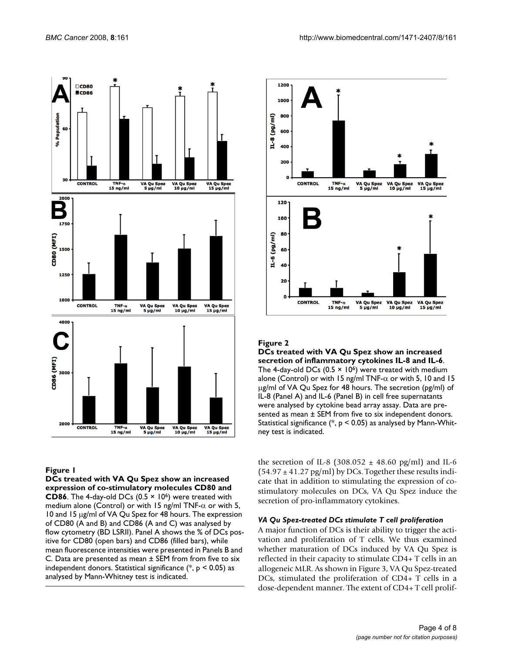

#### Figure 1

**DCs treated with VA Qu Spez show an increased expression of co-stimulatory molecules CD80 and CD86**. The 4-day-old DCs (0.5 × 106) were treated with medium alone (Control) or with 15 ng/ml TNF- $\alpha$  or with 5, 10 and 15 μg/ml of VA Qu Spez for 48 hours. The expression of CD80 (A and B) and CD86 (A and C) was analysed by flow cytometry (BD LSRII). Panel A shows the % of DCs positive for CD80 (open bars) and CD86 (filled bars), while mean fluorescence intensities were presented in Panels B and C. Data are presented as mean ± SEM from from five to six independent donors. Statistical significance  $(*, p < 0.05)$  as analysed by Mann-Whitney test is indicated.



#### Figure 2

**DCs treated with VA Qu Spez show an increased secretion of inflammatory cytokines IL-8 and IL-6**. The 4-day-old DCs  $(0.5 \times 10^6)$  were treated with medium alone (Control) or with 15 ng/ml TNF- $\alpha$  or with 5, 10 and 15 μg/ml of VA Qu Spez for 48 hours. The secretion (pg/ml) of IL-8 (Panel A) and IL-6 (Panel B) in cell free supernatants were analysed by cytokine bead array assay. Data are presented as mean  $\pm$  SEM from five to six independent donors. Statistical significance  $(*, p < 0.05)$  as analysed by Mann-Whitney test is indicated.

the secretion of IL-8 (308.052  $\pm$  48.60 pg/ml) and IL-6  $(54.97 \pm 41.27 \text{ pg/ml})$  by DCs. Together these results indicate that in addition to stimulating the expression of costimulatory molecules on DCs, VA Qu Spez induce the secretion of pro-inflammatory cytokines.

#### *VA Qu Spez-treated DCs stimulate T cell proliferation*

A major function of DCs is their ability to trigger the activation and proliferation of T cells. We thus examined whether maturation of DCs induced by VA Qu Spez is reflected in their capacity to stimulate CD4+ T cells in an allogeneic MLR. As shown in Figure 3, VA Qu Spez-treated DCs, stimulated the proliferation of CD4+ T cells in a dose-dependent manner. The extent of CD4+ T cell prolif-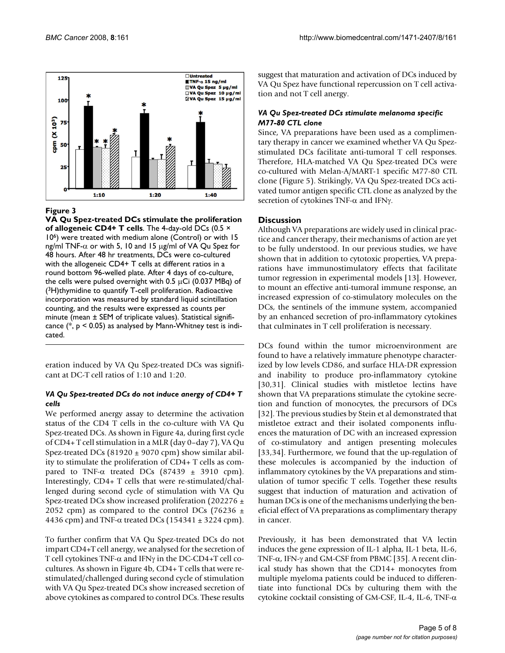

# **Figure 3**

**VA Qu Spez-treated DCs stimulate the proliferation of allogeneic CD4+ T cells**. The 4-day-old DCs (0.5 × 106) were treated with medium alone (Control) or with 15 ng/ml TNF- $\alpha$  or with 5, 10 and 15 μg/ml of VA Qu Spez for 48 hours. After 48 hr treatments, DCs were co-cultured with the allogeneic CD4+ T cells at different ratios in a round bottom 96-welled plate. After 4 days of co-culture, the cells were pulsed overnight with 0.5  $\mu$ Ci (0.037 MBq) of  $(3H)$ thymidine to quantify T-cell proliferation. Radioactive incorporation was measured by standard liquid scintillation counting, and the results were expressed as counts per minute (mean ± SEM of triplicate values). Statistical significance  $(*, p < 0.05)$  as analysed by Mann-Whitney test is indicated.

eration induced by VA Qu Spez-treated DCs was significant at DC-T cell ratios of 1:10 and 1:20.

# *VA Qu Spez-treated DCs do not induce anergy of CD4+ T cells*

We performed anergy assay to determine the activation status of the CD4 T cells in the co-culture with VA Qu Spez-treated DCs. As shown in Figure 4a, during first cycle of CD4+ T cell stimulation in a MLR (day 0–day 7), VA Qu Spez-treated DCs (81920  $\pm$  9070 cpm) show similar ability to stimulate the proliferation of CD4+ T cells as compared to TNF- $\alpha$  treated DCs (87439  $\pm$  3910 cpm). Interestingly, CD4+ T cells that were re-stimulated/challenged during second cycle of stimulation with VA Qu Spez-treated DCs show increased proliferation (202276 ± 2052 cpm) as compared to the control DCs (76236  $\pm$ 4436 cpm) and TNF- $\alpha$  treated DCs (154341  $\pm$  3224 cpm).

To further confirm that VA Qu Spez-treated DCs do not impart CD4+T cell anergy, we analysed for the secretion of T cell cytokines TNF-α and IFNγ in the DC-CD4+T cell cocultures. As shown in Figure 4b, CD4+ T cells that were restimulated/challenged during second cycle of stimulation with VA Qu Spez-treated DCs show increased secretion of above cytokines as compared to control DCs. These results suggest that maturation and activation of DCs induced by VA Qu Spez have functional repercussion on T cell activation and not T cell anergy.

# *VA Qu Spez-treated DCs stimulate melanoma specific M77-80 CTL clone*

Since, VA preparations have been used as a complimentary therapy in cancer we examined whether VA Qu Spezstimulated DCs facilitate anti-tumoral T cell responses. Therefore, HLA-matched VA Qu Spez-treated DCs were co-cultured with Melan-A/MART-1 specific M77-80 CTL clone (Figure 5). Strikingly, VA Qu Spez-treated DCs activated tumor antigen specific CTL clone as analyzed by the secretion of cytokines TNF-α and IFNγ.

# **Discussion**

Although VA preparations are widely used in clinical practice and cancer therapy, their mechanisms of action are yet to be fully understood. In our previous studies, we have shown that in addition to cytotoxic properties, VA preparations have immunostimulatory effects that facilitate tumor regression in experimental models [13]. However, to mount an effective anti-tumoral immune response, an increased expression of co-stimulatory molecules on the DCs, the sentinels of the immune system, accompanied by an enhanced secretion of pro-inflammatory cytokines that culminates in T cell proliferation is necessary.

DCs found within the tumor microenvironment are found to have a relatively immature phenotype characterized by low levels CD86, and surface HLA-DR expression and inability to produce pro-inflammatory cytokine [30,31]. Clinical studies with mistletoe lectins have shown that VA preparations stimulate the cytokine secretion and function of monocytes, the precursors of DCs [32]. The previous studies by Stein et al demonstrated that mistletoe extract and their isolated components influences the maturation of DC with an increased expression of co-stimulatory and antigen presenting molecules [33,34]. Furthermore, we found that the up-regulation of these molecules is accompanied by the induction of inflammatory cytokines by the VA preparations and stimulation of tumor specific T cells. Together these results suggest that induction of maturation and activation of human DCs is one of the mechanisms underlying the beneficial effect of VA preparations as complimentary therapy in cancer.

Previously, it has been demonstrated that VA lectin induces the gene expression of IL-1 alpha, IL-1 beta, IL-6, TNF-α, IFN-γ and GM-CSF from PBMC [35]. A recent clinical study has shown that the CD14+ monocytes from multiple myeloma patients could be induced to differentiate into functional DCs by culturing them with the cytokine cocktail consisting of GM-CSF, IL-4, IL-6, TNF-α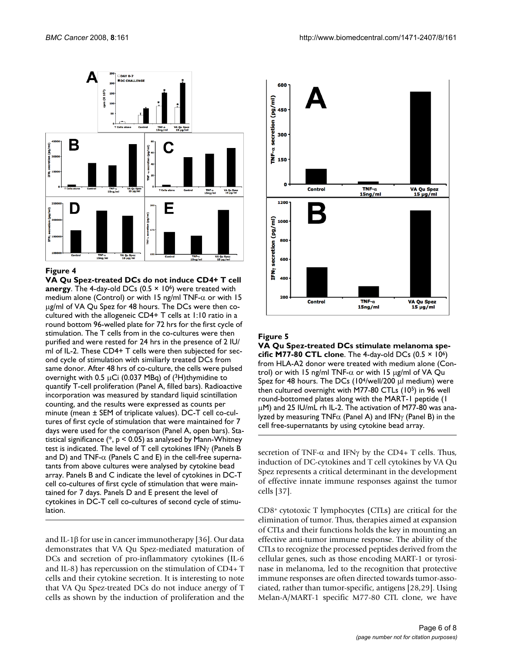

#### Figure 4

**VA Qu Spez-treated DCs do not induce CD4+ T cell**  anergy. The 4-day-old DCs (0.5 × 10<sup>6</sup>) were treated with medium alone (Control) or with 15 ng/ml TNF- $\alpha$  or with 15 μg/ml of VA Qu Spez for 48 hours. The DCs were then cocultured with the allogeneic CD4+ T cells at 1:10 ratio in a round bottom 96-welled plate for 72 hrs for the first cycle of stimulation. The T cells from in the co-cultures were then purified and were rested for 24 hrs in the presence of 2 IU/ ml of IL-2. These CD4+ T cells were then subjected for second cycle of stimulation with similiarly treated DCs from same donor. After 48 hrs of co-culture, the cells were pulsed overnight with 0.5 μCi (0.037 MBq) of  $(3H)$ thymidine to quantify T-cell proliferation (Panel A, filled bars). Radioactive incorporation was measured by standard liquid scintillation counting, and the results were expressed as counts per minute (mean ± SEM of triplicate values). DC-T cell co-cultures of first cycle of stimulation that were maintained for 7 days were used for the comparison (Panel A, open bars). Statistical significance (\*, p < 0.05) as analysed by Mann-Whitney test is indicated. The level of T cell cytokines IFNγ (Panels B and D) and TNF- $\alpha$  (Panels C and E) in the cell-free supernatants from above cultures were analysed by cytokine bead array. Panels B and C indicate the level of cytokines in DC-T cell co-cultures of first cycle of stimulation that were maintained for 7 days. Panels D and E present the level of cytokines in DC-T cell co-cultures of second cycle of stimulation.

and IL-1 $\beta$  for use in cancer immunotherapy [36]. Our data demonstrates that VA Qu Spez-mediated maturation of DCs and secretion of pro-inflammatory cytokines (IL-6 and IL-8) has repercussion on the stimulation of CD4+ T cells and their cytokine secretion. It is interesting to note that VA Qu Spez-treated DCs do not induce anergy of T cells as shown by the induction of proliferation and the



#### **Figure 5**

**VA Qu Spez-treated DCs stimulate melanoma specific M77-80 CTL clone**. The 4-day-old DCs (0.5 × 106) from HLA-A2 donor were treated with medium alone (Control) or with 15 ng/ml TNF- $\alpha$  or with 15 μg/ml of VA Qu Spez for 48 hours. The DCs (104/well/200 μl medium) were then cultured overnight with M77-80 CTLs (105) in 96 well round-bottomed plates along with the MART-1 peptide (1 μM) and 25 IU/mL rh IL-2. The activation of M77-80 was analyzed by measuring TNF $\alpha$  (Panel A) and IFN $\gamma$  (Panel B) in the cell free-supernatants by using cytokine bead array.

secretion of TNF- $\alpha$  and IFN<sub>Y</sub> by the CD4+ T cells. Thus, induction of DC-cytokines and T cell cytokines by VA Qu Spez represents a critical determinant in the development of effective innate immune responses against the tumor cells [37].

CD8+ cytotoxic T lymphocytes (CTLs) are critical for the elimination of tumor. Thus, therapies aimed at expansion of CTLs and their functions holds the key in mounting an effective anti-tumor immune response. The ability of the CTLs to recognize the processed peptides derived from the cellular genes, such as those encoding MART-1 or tyrosinase in melanoma, led to the recognition that protective immune responses are often directed towards tumor-associated, rather than tumor-specific, antigens [28,29]. Using Melan-A/MART-1 specific M77-80 CTL clone, we have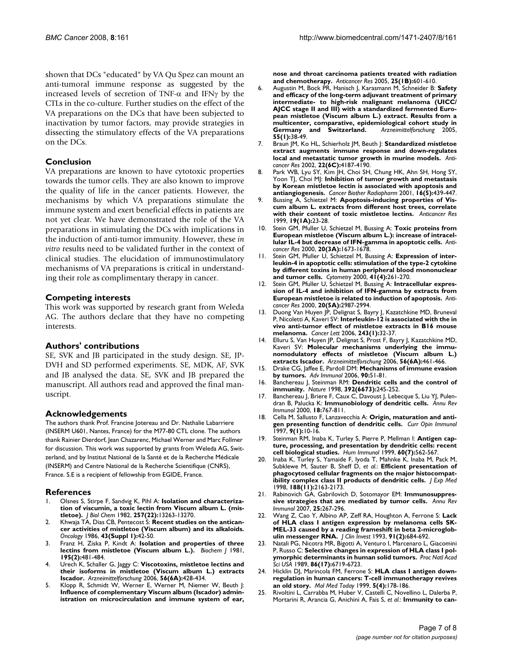shown that DCs "educated" by VA Qu Spez can mount an anti-tumoral immune response as suggested by the increased levels of secretion of TNF- $\alpha$  and IFN $\gamma$  by the CTLs in the co-culture. Further studies on the effect of the VA preparations on the DCs that have been subjected to inactivation by tumor factors, may provide strategies in dissecting the stimulatory effects of the VA preparations on the DCs.

# **Conclusion**

VA preparations are known to have cytotoxic properties towards the tumor cells. They are also known to improve the quality of life in the cancer patients. However, the mechanisms by which VA preparations stimulate the immune system and exert beneficial effects in patients are not yet clear. We have demonstrated the role of the VA preparations in stimulating the DCs with implications in the induction of anti-tumor immunity. However, these *in vitro* results need to be validated further in the context of clinical studies. The elucidation of immunostimulatory mechanisms of VA preparations is critical in understanding their role as complimentary therapy in cancer.

### **Competing interests**

This work was supported by research grant from Weleda AG. The authors declare that they have no competing interests.

#### **Authors' contributions**

SE, SVK and JB participated in the study design. SE, JP-DVH and SD performed experiments. SE, MDK, AF, SVK and JB analysed the data. SE, SVK and JB prepared the manuscript. All authors read and approved the final manuscript.

# **Acknowledgements**

The authors thank Prof. Francine Jotereau and Dr. Nathalie Labarriere (INSERM U601, Nantes, France) for the M77-80 CTL clone. The authors thank Rainier Dierdorf, Jean Chazarenc, Michael Werner and Marc Follmer for discussion. This work was supported by grants from Weleda AG, Switzerland, and by Institut National de la Santé et de la Recherche Médicale (INSERM) and Centre National de la Recherche Scientifique (CNRS), France. S.E is a recipient of fellowship from EGIDE, France.

#### **References**

- 1. Olsnes S, Stirpe F, Sandvig K, Pihl A: **[Isolation and characteriza](http://www.ncbi.nlm.nih.gov/entrez/query.fcgi?cmd=Retrieve&db=PubMed&dopt=Abstract&list_uids=7142144)[tion of viscumin, a toxic lectin from Viscum album L. \(mis](http://www.ncbi.nlm.nih.gov/entrez/query.fcgi?cmd=Retrieve&db=PubMed&dopt=Abstract&list_uids=7142144)[tletoe\).](http://www.ncbi.nlm.nih.gov/entrez/query.fcgi?cmd=Retrieve&db=PubMed&dopt=Abstract&list_uids=7142144)** *J Biol Chem* 1982, **257(22):**13263-13270.
- 2. Khwaja TA, Dias CB, Pentecost S: **[Recent studies on the antican](http://www.ncbi.nlm.nih.gov/entrez/query.fcgi?cmd=Retrieve&db=PubMed&dopt=Abstract&list_uids=3543783)[cer activities of mistletoe \(Viscum album\) and its alkaloids.](http://www.ncbi.nlm.nih.gov/entrez/query.fcgi?cmd=Retrieve&db=PubMed&dopt=Abstract&list_uids=3543783)** *Oncology* 1986, **43(Suppl 1):**42-50.
- 3. Franz H, Ziska P, Kindt A: **[Isolation and properties of three](http://www.ncbi.nlm.nih.gov/entrez/query.fcgi?cmd=Retrieve&db=PubMed&dopt=Abstract&list_uids=7316963) [lectins from mistletoe \(Viscum album L.\).](http://www.ncbi.nlm.nih.gov/entrez/query.fcgi?cmd=Retrieve&db=PubMed&dopt=Abstract&list_uids=7316963)** *Biochem J* 1981, **195(2):**481-484.
- Urech K, Schaller G, Jaggy C: [Viscotoxins, mistletoe lectins and](http://www.ncbi.nlm.nih.gov/entrez/query.fcgi?cmd=Retrieve&db=PubMed&dopt=Abstract&list_uids=16927522) **[their isoforms in mistletoe \(Viscum album L.\) extracts](http://www.ncbi.nlm.nih.gov/entrez/query.fcgi?cmd=Retrieve&db=PubMed&dopt=Abstract&list_uids=16927522) [Iscador.](http://www.ncbi.nlm.nih.gov/entrez/query.fcgi?cmd=Retrieve&db=PubMed&dopt=Abstract&list_uids=16927522)** *Arzneimittelforschung* 2006, **56(6A):**428-434.
- 5. Klopp R, Schmidt W, Werner E, Werner M, Niemer W, Beuth J: **Influence of complementary Viscum album (Iscador) admin[istration on microcirculation and immune system of ear,](http://www.ncbi.nlm.nih.gov/entrez/query.fcgi?cmd=Retrieve&db=PubMed&dopt=Abstract&list_uids=15816634)**

**[nose and throat carcinoma patients treated with radiation](http://www.ncbi.nlm.nih.gov/entrez/query.fcgi?cmd=Retrieve&db=PubMed&dopt=Abstract&list_uids=15816634) [and chemotherapy.](http://www.ncbi.nlm.nih.gov/entrez/query.fcgi?cmd=Retrieve&db=PubMed&dopt=Abstract&list_uids=15816634)** *Anticancer Res* 2005, **25(1B):**601-610.

- 6. Augustin M, Bock PR, Hanisch J, Karasmann M, Schneider B: **[Safety](http://www.ncbi.nlm.nih.gov/entrez/query.fcgi?cmd=Retrieve&db=PubMed&dopt=Abstract&list_uids=15727163) [and efficacy of the long-term adjuvant treatment of primary](http://www.ncbi.nlm.nih.gov/entrez/query.fcgi?cmd=Retrieve&db=PubMed&dopt=Abstract&list_uids=15727163) intermediate- to high-risk malignant melanoma (UICC/ AJCC stage II and III) with a standardized fermented European mistletoe (Viscum album L.) extract. Results from a multicenter, comparative, epidemiological cohort study in [Germany and Switzerland.](http://www.ncbi.nlm.nih.gov/entrez/query.fcgi?cmd=Retrieve&db=PubMed&dopt=Abstract&list_uids=15727163) 55(1):**38-49.
- 7. Braun JM, Ko HL, Schierholz JM, Beuth J: **[Standardized mistletoe](http://www.ncbi.nlm.nih.gov/entrez/query.fcgi?cmd=Retrieve&db=PubMed&dopt=Abstract&list_uids=12553054) [extract augments immune response and down-regulates](http://www.ncbi.nlm.nih.gov/entrez/query.fcgi?cmd=Retrieve&db=PubMed&dopt=Abstract&list_uids=12553054) [local and metastatic tumor growth in murine models.](http://www.ncbi.nlm.nih.gov/entrez/query.fcgi?cmd=Retrieve&db=PubMed&dopt=Abstract&list_uids=12553054)** *Anticancer Res* 2002, **22(6C):**4187-4190.
- 8. Park WB, Lyu SY, Kim JH, Choi SH, Chung HK, Ahn SH, Hong SY, Yoon TJ, Choi MJ: **[Inhibition of tumor growth and metastasis](http://www.ncbi.nlm.nih.gov/entrez/query.fcgi?cmd=Retrieve&db=PubMed&dopt=Abstract&list_uids=11776761) [by Korean mistletoe lectin is associated with apoptosis and](http://www.ncbi.nlm.nih.gov/entrez/query.fcgi?cmd=Retrieve&db=PubMed&dopt=Abstract&list_uids=11776761) [antiangiogenesis.](http://www.ncbi.nlm.nih.gov/entrez/query.fcgi?cmd=Retrieve&db=PubMed&dopt=Abstract&list_uids=11776761)** *Cancer Biother Radiopharm* 2001, **16(5):**439-447.
- 9. Bussing A, Schietzel M: **[Apoptosis-inducing properties of Vis](http://www.ncbi.nlm.nih.gov/entrez/query.fcgi?cmd=Retrieve&db=PubMed&dopt=Abstract&list_uids=10226520)[cum album L. extracts from different host trees, correlate](http://www.ncbi.nlm.nih.gov/entrez/query.fcgi?cmd=Retrieve&db=PubMed&dopt=Abstract&list_uids=10226520) [with their content of toxic mistletoe lectins.](http://www.ncbi.nlm.nih.gov/entrez/query.fcgi?cmd=Retrieve&db=PubMed&dopt=Abstract&list_uids=10226520)** *Anticancer Res* 1999, **19(1A):**23-28.
- 10. Stein GM, Pfuller U, Schietzel M, Bussing A: **[Toxic proteins from](http://www.ncbi.nlm.nih.gov/entrez/query.fcgi?cmd=Retrieve&db=PubMed&dopt=Abstract&list_uids=10928090) [European mistletoe \(Viscum album L.\): increase of intracel](http://www.ncbi.nlm.nih.gov/entrez/query.fcgi?cmd=Retrieve&db=PubMed&dopt=Abstract&list_uids=10928090)[lular IL-4 but decrease of IFN-gamma in apoptotic cells.](http://www.ncbi.nlm.nih.gov/entrez/query.fcgi?cmd=Retrieve&db=PubMed&dopt=Abstract&list_uids=10928090)** *Anticancer Res* 2000, **20(3A):**1673-1678.
- Stein GM, Pfuller U, Schietzel M, Bussing A: [Expression of inter](http://www.ncbi.nlm.nih.gov/entrez/query.fcgi?cmd=Retrieve&db=PubMed&dopt=Abstract&list_uids=11084611)**[leukin-4 in apoptotic cells: stimulation of the type-2 cytokine](http://www.ncbi.nlm.nih.gov/entrez/query.fcgi?cmd=Retrieve&db=PubMed&dopt=Abstract&list_uids=11084611) by different toxins in human peripheral blood mononuclear [and tumor cells.](http://www.ncbi.nlm.nih.gov/entrez/query.fcgi?cmd=Retrieve&db=PubMed&dopt=Abstract&list_uids=11084611)** *Cytometry* 2000, **41(4):**261-270.
- Stein GM, Pfuller U, Schietzel M, Bussing A: [Intracellular expres](http://www.ncbi.nlm.nih.gov/entrez/query.fcgi?cmd=Retrieve&db=PubMed&dopt=Abstract&list_uids=11062712)**[sion of IL-4 and inhibition of IFN-gamma by extracts from](http://www.ncbi.nlm.nih.gov/entrez/query.fcgi?cmd=Retrieve&db=PubMed&dopt=Abstract&list_uids=11062712) [European mistletoe is related to induction of apoptosis.](http://www.ncbi.nlm.nih.gov/entrez/query.fcgi?cmd=Retrieve&db=PubMed&dopt=Abstract&list_uids=11062712)** *Anticancer Res* 2000, **20(5A):**2987-2994.
- 13. Duong Van Huyen JP, Delignat S, Bayry J, Kazatchkine MD, Bruneval P, Nicoletti A, Kaveri SV: **[Interleukin-12 is associated with the in](http://www.ncbi.nlm.nih.gov/entrez/query.fcgi?cmd=Retrieve&db=PubMed&dopt=Abstract&list_uids=16412563) [vivo anti-tumor effect of mistletoe extracts in B16 mouse](http://www.ncbi.nlm.nih.gov/entrez/query.fcgi?cmd=Retrieve&db=PubMed&dopt=Abstract&list_uids=16412563) [melanoma.](http://www.ncbi.nlm.nih.gov/entrez/query.fcgi?cmd=Retrieve&db=PubMed&dopt=Abstract&list_uids=16412563)** *Cancer Lett* 2006, **243(1):**32-37.
- 14. Elluru S, Van Huyen JP, Delignat S, Prost F, Bayry J, Kazatchkine MD, Kaveri SV: **[Molecular mechanisms underlying the immu](http://www.ncbi.nlm.nih.gov/entrez/query.fcgi?cmd=Retrieve&db=PubMed&dopt=Abstract&list_uids=16927527)[nomodulatory effects of mistletoe \(Viscum album L.\)](http://www.ncbi.nlm.nih.gov/entrez/query.fcgi?cmd=Retrieve&db=PubMed&dopt=Abstract&list_uids=16927527) [extracts Iscador.](http://www.ncbi.nlm.nih.gov/entrez/query.fcgi?cmd=Retrieve&db=PubMed&dopt=Abstract&list_uids=16927527)** *Arzneimittelforschung* 2006, **56(6A):**461-466.
- 15. Drake CG, Jaffee E, Pardoll DM: **[Mechanisms of immune evasion](http://www.ncbi.nlm.nih.gov/entrez/query.fcgi?cmd=Retrieve&db=PubMed&dopt=Abstract&list_uids=16730261) [by tumors.](http://www.ncbi.nlm.nih.gov/entrez/query.fcgi?cmd=Retrieve&db=PubMed&dopt=Abstract&list_uids=16730261)** *Adv Immunol* 2006, **90:**51-81.
- 16. Banchereau J, Steinman RM: **[Dendritic cells and the control of](http://www.ncbi.nlm.nih.gov/entrez/query.fcgi?cmd=Retrieve&db=PubMed&dopt=Abstract&list_uids=9521319) [immunity.](http://www.ncbi.nlm.nih.gov/entrez/query.fcgi?cmd=Retrieve&db=PubMed&dopt=Abstract&list_uids=9521319)** *Nature* 1998, **392(6673):**245-252.
- 17. Banchereau J, Briere F, Caux C, Davoust J, Lebecque S, Liu YJ, Pulendran B, Palucka K: **[Immunobiology of dendritic cells.](http://www.ncbi.nlm.nih.gov/entrez/query.fcgi?cmd=Retrieve&db=PubMed&dopt=Abstract&list_uids=10837075)** *Annu Rev Immunol* 2000, **18:**767-811.
- 18. Cella M, Sallusto F, Lanzavecchia A: **[Origin, maturation and anti](http://www.ncbi.nlm.nih.gov/entrez/query.fcgi?cmd=Retrieve&db=PubMed&dopt=Abstract&list_uids=9039784)[gen presenting function of dendritic cells.](http://www.ncbi.nlm.nih.gov/entrez/query.fcgi?cmd=Retrieve&db=PubMed&dopt=Abstract&list_uids=9039784)** *Curr Opin Immunol* 1997, **9(1):**10-16.
- 19. Steinman RM, Inaba K, Turley S, Pierre P, Mellman I: **[Antigen cap](http://www.ncbi.nlm.nih.gov/entrez/query.fcgi?cmd=Retrieve&db=PubMed&dopt=Abstract&list_uids=10426272)[ture, processing, and presentation by dendritic cells: recent](http://www.ncbi.nlm.nih.gov/entrez/query.fcgi?cmd=Retrieve&db=PubMed&dopt=Abstract&list_uids=10426272) [cell biological studies.](http://www.ncbi.nlm.nih.gov/entrez/query.fcgi?cmd=Retrieve&db=PubMed&dopt=Abstract&list_uids=10426272)** *Hum Immunol* 1999, **60(7):**562-567.
- 20. Inaba K, Turley S, Yamaide F, Iyoda T, Mahnke K, Inaba M, Pack M, Subklewe M, Sauter B, Sheff D, *et al.*: **[Efficient presentation of](http://www.ncbi.nlm.nih.gov/entrez/query.fcgi?cmd=Retrieve&db=PubMed&dopt=Abstract&list_uids=9841929) [phagocytosed cellular fragments on the major histocompat](http://www.ncbi.nlm.nih.gov/entrez/query.fcgi?cmd=Retrieve&db=PubMed&dopt=Abstract&list_uids=9841929)[ibility complex class II products of dendritic cells.](http://www.ncbi.nlm.nih.gov/entrez/query.fcgi?cmd=Retrieve&db=PubMed&dopt=Abstract&list_uids=9841929)** *J Exp Med* 1998, **188(11):**2163-2173.
- 21. Rabinovich GA, Gabrilovich D, Sotomayor EM: **[Immunosuppres](http://www.ncbi.nlm.nih.gov/entrez/query.fcgi?cmd=Retrieve&db=PubMed&dopt=Abstract&list_uids=17134371)[sive strategies that are mediated by tumor cells.](http://www.ncbi.nlm.nih.gov/entrez/query.fcgi?cmd=Retrieve&db=PubMed&dopt=Abstract&list_uids=17134371)** *Annu Rev Immunol* 2007, **25:**267-296.
- 22. Wang Z, Cao Y, Albino AP, Zeff RA, Houghton A, Ferrone S: **[Lack](http://www.ncbi.nlm.nih.gov/entrez/query.fcgi?cmd=Retrieve&db=PubMed&dopt=Abstract&list_uids=8432869) [of HLA class I antigen expression by melanoma cells SK-](http://www.ncbi.nlm.nih.gov/entrez/query.fcgi?cmd=Retrieve&db=PubMed&dopt=Abstract&list_uids=8432869)MEL-33 caused by a reading frameshift in beta 2-microglob[ulin messenger RNA.](http://www.ncbi.nlm.nih.gov/entrez/query.fcgi?cmd=Retrieve&db=PubMed&dopt=Abstract&list_uids=8432869)** *J Clin Invest* 1993, **91(2):**684-692.
- 23. Natali PG, Nicotra MR, Bigotti A, Venturo I, Marcenaro L, Giacomini P, Russo C: **[Selective changes in expression of HLA class I pol](http://www.ncbi.nlm.nih.gov/entrez/query.fcgi?cmd=Retrieve&db=PubMed&dopt=Abstract&list_uids=2672003)[ymorphic determinants in human solid tumors.](http://www.ncbi.nlm.nih.gov/entrez/query.fcgi?cmd=Retrieve&db=PubMed&dopt=Abstract&list_uids=2672003)** *Proc Natl Acad Sci USA* 1989, **86(17):**6719-6723.
- 24. Hicklin DJ, Marincola FM, Ferrone S: **[HLA class I antigen down](http://www.ncbi.nlm.nih.gov/entrez/query.fcgi?cmd=Retrieve&db=PubMed&dopt=Abstract&list_uids=10203751)[regulation in human cancers: T-cell immunotherapy revives](http://www.ncbi.nlm.nih.gov/entrez/query.fcgi?cmd=Retrieve&db=PubMed&dopt=Abstract&list_uids=10203751) [an old story.](http://www.ncbi.nlm.nih.gov/entrez/query.fcgi?cmd=Retrieve&db=PubMed&dopt=Abstract&list_uids=10203751)** *Mol Med Today* 1999, **5(4):**178-186.
- 25. Rivoltini L, Carrabba M, Huber V, Castelli C, Novellino L, Dalerba P, Mortarini R, Arancia G, Anichini A, Fais S, *et al.*: **[Immunity to can](http://www.ncbi.nlm.nih.gov/entrez/query.fcgi?cmd=Retrieve&db=PubMed&dopt=Abstract&list_uids=12445284)-**